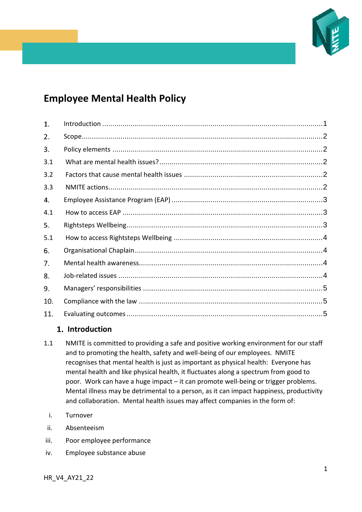

# **Employee Mental Health Policy**

| 1.  |  |
|-----|--|
| 2.  |  |
| 3.  |  |
| 3.1 |  |
| 3.2 |  |
| 3.3 |  |
| 4.  |  |
| 4.1 |  |
| 5.  |  |
| 5.1 |  |
| 6.  |  |
| 7.  |  |
| 8.  |  |
| 9.  |  |
| 10. |  |
| 11. |  |

# <span id="page-0-0"></span>**Introduction**

- 1.1 NMITE is committed to providing a safe and positive working environment for our staff and to promoting the health, safety and well-being of our employees. NMITE recognises that mental health is just as important as physical health: Everyone has mental health and like physical health, it fluctuates along a spectrum from good to poor. Work can have a huge impact – it can promote well-being or trigger problems. Mental illness may be detrimental to a person, as it can impact happiness, productivity and collaboration. Mental health issues may affect companies in the form of:
	- i. Turnover
- ii. Absenteeism
- iii. Poor employee performance
- iv. Employee substance abuse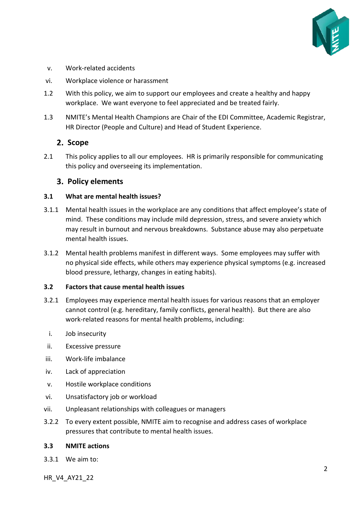

- v. Work-related accidents
- vi. Workplace violence or harassment
- 1.2 With this policy, we aim to support our employees and create a healthy and happy workplace. We want everyone to feel appreciated and be treated fairly.
- 1.3 NMITE's Mental Health Champions are Chair of the EDI Committee, Academic Registrar, HR Director (People and Culture) and Head of Student Experience.

## <span id="page-1-0"></span>2. Scope

2.1 This policy applies to all our employees. HR is primarily responsible for communicating this policy and overseeing its implementation.

## <span id="page-1-1"></span>**Policy elements**

#### <span id="page-1-2"></span>**3.1 What are mental health issues?**

- 3.1.1 Mental health issues in the workplace are any conditions that affect employee's state of mind. These conditions may include mild depression, stress, and severe anxiety which may result in burnout and nervous breakdowns. Substance abuse may also perpetuate mental health issues.
- 3.1.2 Mental health problems manifest in different ways. Some employees may suffer with no physical side effects, while others may experience physical symptoms (e.g. increased blood pressure, lethargy, changes in eating habits).

#### <span id="page-1-3"></span>**3.2 Factors that cause mental health issues**

- 3.2.1 Employees may experience mental health issues for various reasons that an employer cannot control (e.g. hereditary, family conflicts, general health). But there are also work-related reasons for mental health problems, including:
	- i. Job insecurity
- ii. Excessive pressure
- iii. Work-life imbalance
- iv. Lack of appreciation
- v. Hostile workplace conditions
- vi. Unsatisfactory job or workload
- vii. Unpleasant relationships with colleagues or managers
- 3.2.2 To every extent possible, NMITE aim to recognise and address cases of workplace pressures that contribute to mental health issues.

#### <span id="page-1-4"></span>**3.3 NMITE actions**

3.3.1 We aim to:

HR\_V4\_AY21\_22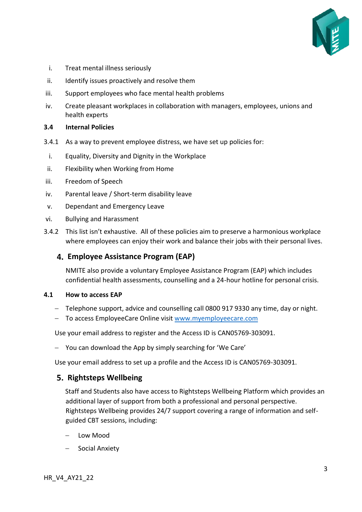

- i. Treat mental illness seriously
- ii. Identify issues proactively and resolve them
- iii. Support employees who face mental health problems
- iv. Create pleasant workplaces in collaboration with managers, employees, unions and health experts

#### **3.4 Internal Policies**

- 3.4.1 As a way to prevent employee distress, we have set up policies for:
- i. Equality, Diversity and Dignity in the Workplace
- ii. Flexibility when Working from Home
- iii. Freedom of Speech
- iv. Parental leave / Short-term disability leave
- v. Dependant and Emergency Leave
- vi. Bullying and Harassment
- 3.4.2 This list isn't exhaustive. All of these policies aim to preserve a harmonious workplace where employees can enjoy their work and balance their jobs with their personal lives.

# <span id="page-2-0"></span>**Employee Assistance Program (EAP)**

NMITE also provide a voluntary Employee Assistance Program (EAP) which includes confidential health assessments, counselling and a 24-hour hotline for personal crisis.

#### <span id="page-2-1"></span>**4.1 How to access EAP**

- − Telephone support, advice and counselling call 0800 917 9330 any time, day or night.
- − To access EmployeeCare Online visit [www.myemployeecare.com](http://www.myemployeecare.com/)

Use your email address to register and the Access ID is CAN05769-303091.

− You can download the App by simply searching for 'We Care'

Use your email address to set up a profile and the Access ID is CAN05769-303091.

## <span id="page-2-2"></span>**Rightsteps Wellbeing**

Staff and Students also have access to Rightsteps Wellbeing Platform which provides an additional layer of support from both a professional and personal perspective. Rightsteps Wellbeing provides 24/7 support covering a range of information and selfguided CBT sessions, including:

- − Low Mood
- − Social Anxiety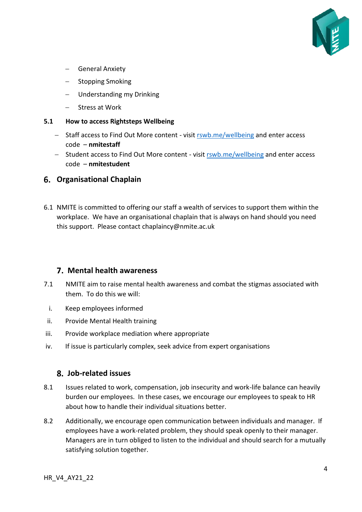

- − General Anxiety
- − Stopping Smoking
- − Understanding my Drinking
- − Stress at Work

#### <span id="page-3-0"></span>**5.1 How to access Rightsteps Wellbeing**

- − Staff access to Find Out More content visit [rswb.me/wellbeing](https://nmite.sharepoint.com/Academic%20Registry/Policy%20Framework/Policy%20Framework_21-22_under%20review/Archive/Policies%20as%20at%20Feb2020/rswb.me/wellbeing) and enter access code – **nmitestaff**
- − Student access to Find Out More content visi[t rswb.me/wellbeing](https://nmite.sharepoint.com/Academic%20Registry/Policy%20Framework/Policy%20Framework_21-22_under%20review/Archive/Policies%20as%20at%20Feb2020/rswb.me/wellbeing) and enter access code – **nmitestudent**

## <span id="page-3-1"></span>**Organisational Chaplain**

6.1 NMITE is committed to offering our staff a wealth of services to support them within the workplace. We have an organisational chaplain that is always on hand should you need this support. Please contact [chaplaincy@nmite.ac.uk](mailto:chaplaincy@nmite.ac.uk)

## <span id="page-3-2"></span>**Mental health awareness**

- 7.1 NMITE aim to raise mental health awareness and combat the stigmas associated with them. To do this we will:
- i. Keep employees informed
- ii. Provide Mental Health training
- iii. Provide workplace mediation where appropriate
- iv. If issue is particularly complex, seek advice from expert organisations

## <span id="page-3-3"></span>**Job-related issues**

- 8.1 Issues related to work, compensation, job insecurity and work-life balance can heavily burden our employees. In these cases, we encourage our employees to speak to HR about how to handle their individual situations better.
- 8.2 Additionally, we encourage open communication between individuals and manager. If employees have a work-related problem, they should speak openly to their manager. Managers are in turn obliged to listen to the individual and should search for a mutually satisfying solution together.